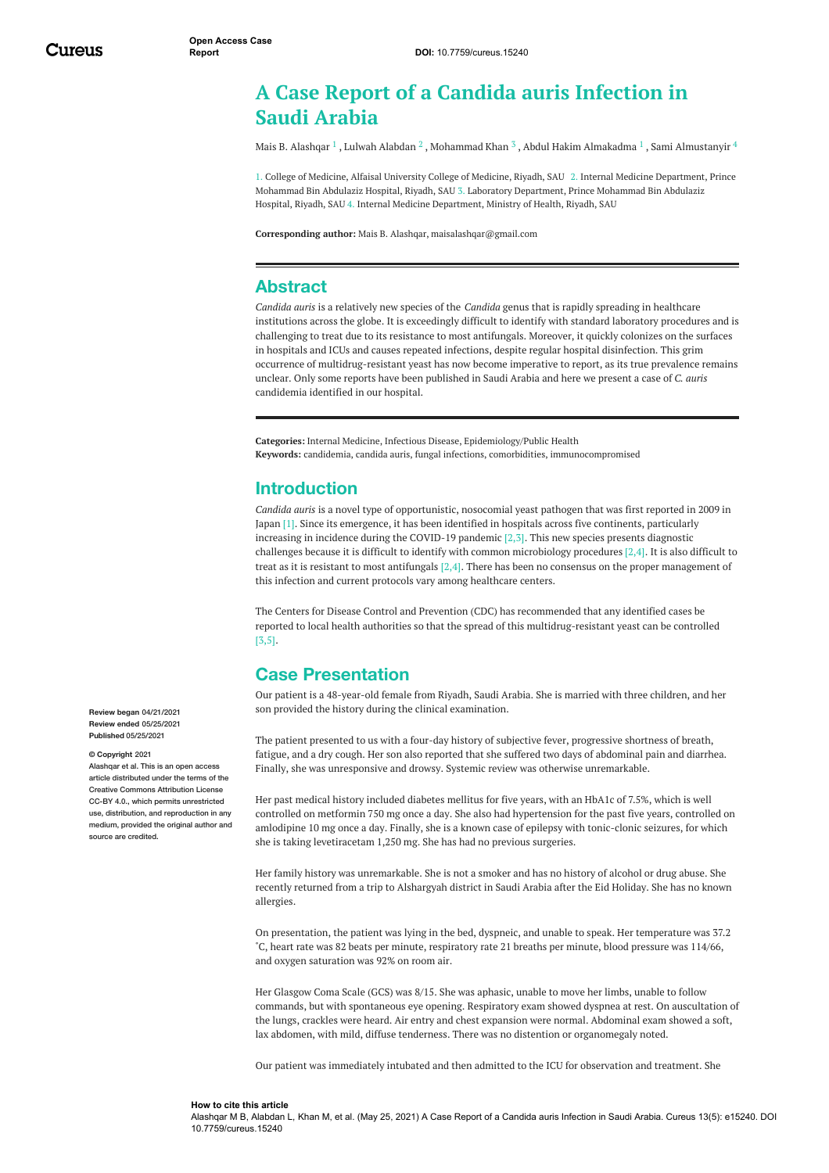# **A Case Report of a Candida auris Infection in Saudi Arabia**

Mais B. [Alashqar](https://www.cureus.com/users/218779-mais-b-alashqar)  $^1$  , Lulwah [Alabdan](https://www.cureus.com/users/208468-lulwah-alabdan)  $^2$  , [Mohammad](https://www.cureus.com/users/212427-mohammad-a-khan) Khan  $^3$  , Abdul Hakim [Almakadma](https://www.cureus.com/users/239034-abdul-hakim-almakadma)  $^1$  , Sami [Almustanyir](https://www.cureus.com/users/227552-sami-almustanyir)  $^4$ 

1. College of Medicine, Alfaisal University College of Medicine, Riyadh, SAU 2. Internal Medicine Department, Prince Mohammad Bin Abdulaziz Hospital, Riyadh, SAU 3. Laboratory Department, Prince Mohammad Bin Abdulaziz Hospital, Riyadh, SAU 4. Internal Medicine Department, Ministry of Health, Riyadh, SAU

**Corresponding author:** Mais B. Alashqar, maisalashqar@gmail.com

## **Abstract**

*Candida auris* is a relatively new species of the *Candida* genus that is rapidly spreading in healthcare institutions across the globe. It is exceedingly difficult to identify with standard laboratory procedures and is challenging to treat due to its resistance to most antifungals. Moreover, it quickly colonizes on the surfaces in hospitals and ICUs and causes repeated infections, despite regular hospital disinfection. This grim occurrence of multidrug-resistant yeast has now become imperative to report, as its true prevalence remains unclear. Only some reports have been published in Saudi Arabia and here we present a case of *C. auris* candidemia identified in our hospital.

**Categories:** Internal Medicine, Infectious Disease, Epidemiology/Public Health **Keywords:** candidemia, candida auris, fungal infections, comorbidities, immunocompromised

### **Introduction**

*Candida auris* is a novel type of opportunistic, nosocomial yeast pathogen that was first reported in 2009 in Japan [1]. Since its emergence, it has been identified in hospitals across five continents, particularly increasing in incidence during the COVID-19 pandemic  $[2,3]$ . This new species presents diagnostic challenges because it is difficult to identify with common microbiology procedures  $[2,4]$ . It is also difficult to treat as it is resistant to most antifungals  $[2,4]$ . There has been no consensus on the proper management of this infection and current protocols vary among healthcare centers.

The Centers for Disease Control and Prevention (CDC) has recommended that any identified cases be reported to local health authorities so that the spread of this multidrug-resistant yeast can be controlled [3,5].

## **Case Presentation**

Our patient is a 48-year-old female from Riyadh, Saudi Arabia. She is married with three children, and her son provided the history during the clinical examination.

The patient presented to us with a four-day history of subjective fever, progressive shortness of breath, fatigue, and a dry cough. Her son also reported that she suffered two days of abdominal pain and diarrhea. Finally, she was unresponsive and drowsy. Systemic review was otherwise unremarkable.

Her past medical history included diabetes mellitus for five years, with an HbA1c of 7.5%, which is well controlled on metformin 750 mg once a day. She also had hypertension for the past five years, controlled on amlodipine 10 mg once a day. Finally, she is a known case of epilepsy with tonic-clonic seizures, for which she is taking levetiracetam 1,250 mg. She has had no previous surgeries.

Her family history was unremarkable. She is not a smoker and has no history of alcohol or drug abuse. She recently returned from a trip to Alshargyah district in Saudi Arabia after the Eid Holiday. She has no known allergies.

On presentation, the patient was lying in the bed, dyspneic, and unable to speak. Her temperature was 37.2 ˚C, heart rate was 82 beats per minute, respiratory rate 21 breaths per minute, blood pressure was 114/66, and oxygen saturation was 92% on room air.

Her Glasgow Coma Scale (GCS) was 8/15. She was aphasic, unable to move her limbs, unable to follow commands, but with spontaneous eye opening. Respiratory exam showed dyspnea at rest. On auscultation of the lungs, crackles were heard. Air entry and chest expansion were normal. Abdominal exam showed a soft, lax abdomen, with mild, diffuse tenderness. There was no distention or organomegaly noted.

Our patient was immediately intubated and then admitted to the ICU for observation and treatment. She

**Review began** 04/21/2021 **Review ended** 05/25/2021 **Published** 05/25/2021

#### **© Copyright** 2021

Alashgar et al. This is an open access article distributed under the terms of the Creative Commons Attribution License CC-BY 4.0., which permits unrestricted use, distribution, and reproduction in any medium, provided the original author and source are credited

#### **How to cite this article**

Alashqar M B, Alabdan L, Khan M, et al. (May 25, 2021) A Case Report of a Candida auris Infection in Saudi Arabia. Cureus 13(5): e15240. DOI 10.7759/cureus.15240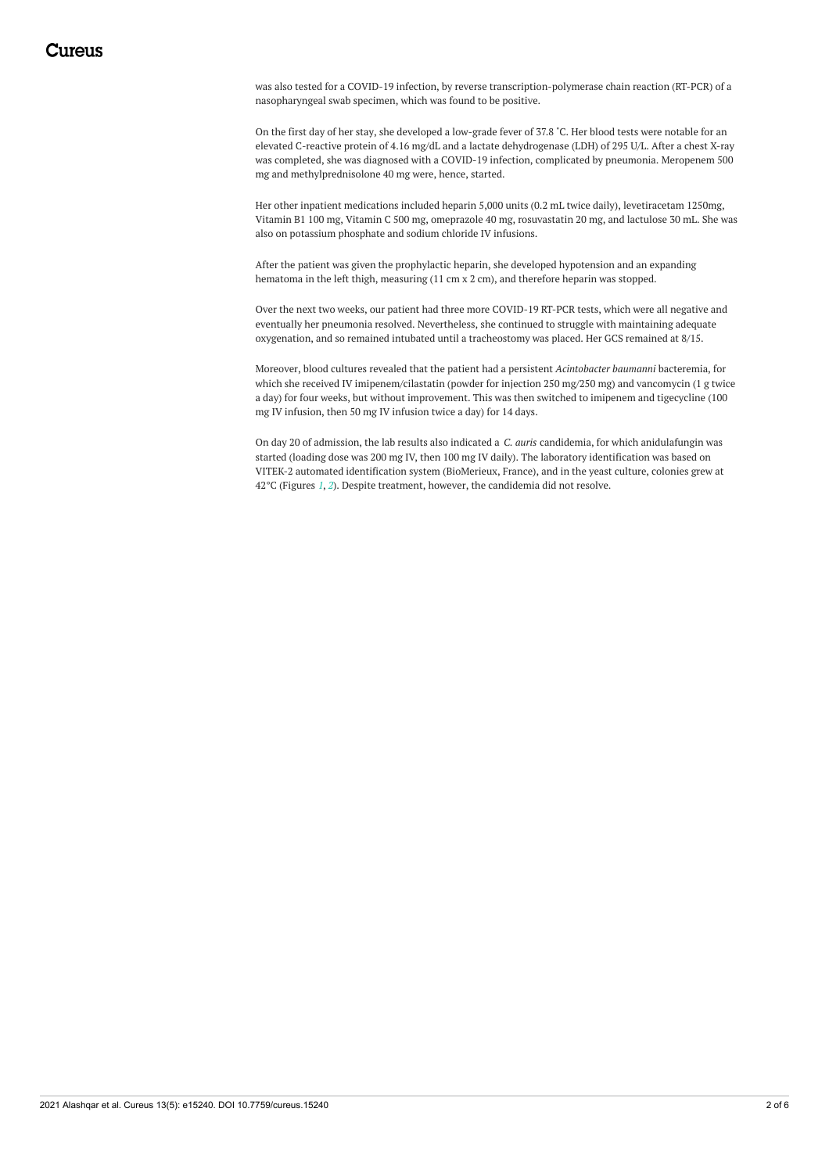was also tested for a COVID-19 infection, by reverse transcription-polymerase chain reaction (RT-PCR) of a nasopharyngeal swab specimen, which was found to be positive.

On the first day of her stay, she developed a low-grade fever of 37.8 ˚C. Her blood tests were notable for an elevated C-reactive protein of 4.16 mg/dL and a lactate dehydrogenase (LDH) of 295 U/L. After a chest X-ray was completed, she was diagnosed with a COVID-19 infection, complicated by pneumonia. Meropenem 500 mg and methylprednisolone 40 mg were, hence, started.

Her other inpatient medications included heparin 5,000 units (0.2 mL twice daily), levetiracetam 1250mg, Vitamin B1 100 mg, Vitamin C 500 mg, omeprazole 40 mg, rosuvastatin 20 mg, and lactulose 30 mL. She was also on potassium phosphate and sodium chloride IV infusions.

After the patient was given the prophylactic heparin, she developed hypotension and an expanding hematoma in the left thigh, measuring (11 cm x 2 cm), and therefore heparin was stopped.

Over the next two weeks, our patient had three more COVID-19 RT-PCR tests, which were all negative and eventually her pneumonia resolved. Nevertheless, she continued to struggle with maintaining adequate oxygenation, and so remained intubated until a tracheostomy was placed. Her GCS remained at 8/15.

Moreover, blood cultures revealed that the patient had a persistent *Acintobacter baumanni* bacteremia, for which she received IV imipenem/cilastatin (powder for injection 250 mg/250 mg) and vancomycin (1 g twice a day) for four weeks, but without improvement. This was then switched to imipenem and tigecycline (100 mg IV infusion, then 50 mg IV infusion twice a day) for 14 days.

On day 20 of admission, the lab results also indicated a *C. auris* candidemia, for which anidulafungin was started (loading dose was 200 mg IV, then 100 mg IV daily). The laboratory identification was based on VITEK-2 automated identification system (BioMerieux, France), and in the yeast culture, colonies grew at 42°C (Figures *[1](#page-2-0)*, *[2](#page-3-0)*). Despite treatment, however, the candidemia did not resolve.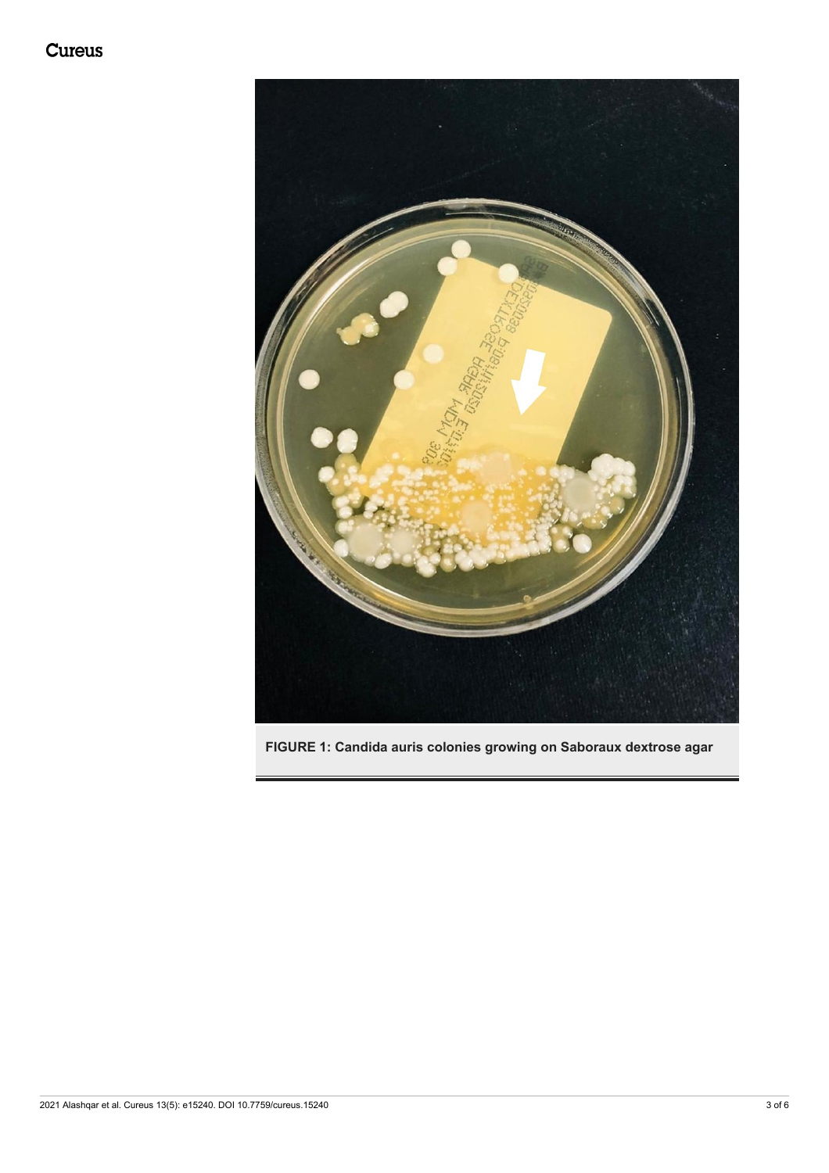<span id="page-2-0"></span>

**FIGURE 1: Candida auris colonies growing on Saboraux dextrose agar**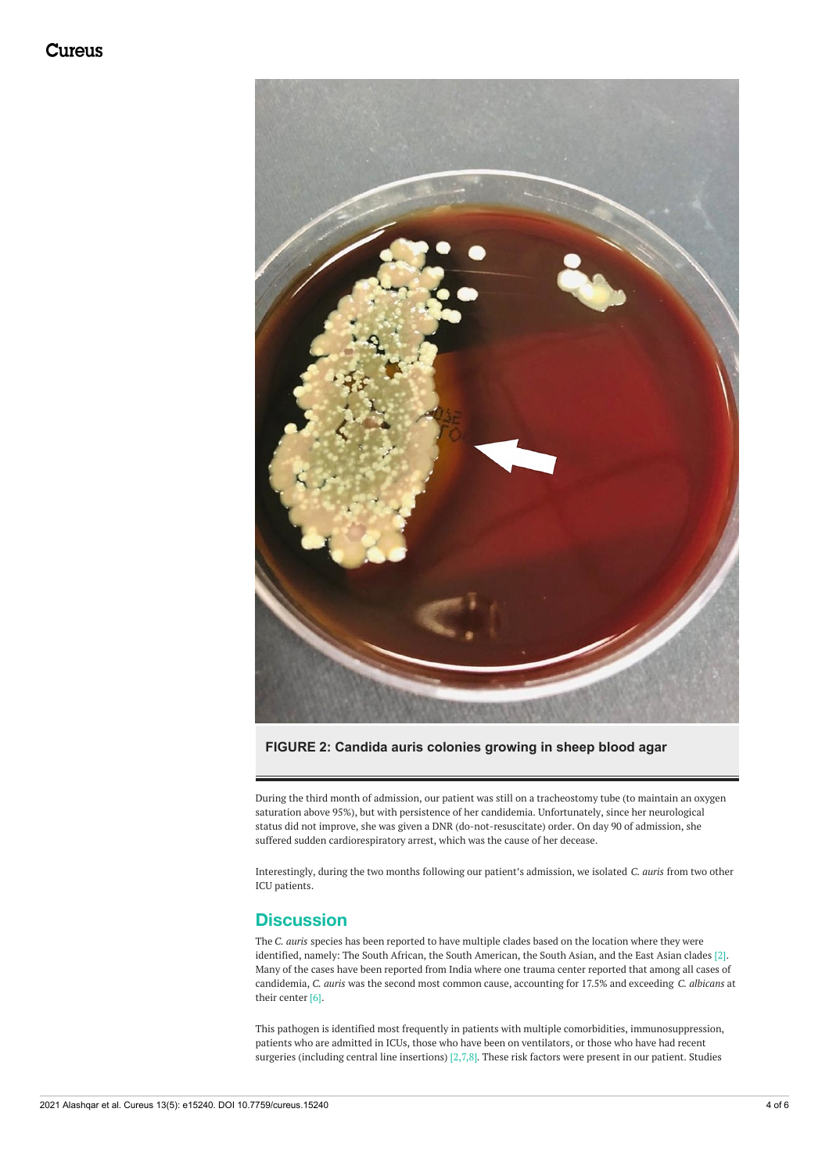<span id="page-3-0"></span>

**FIGURE 2: Candida auris colonies growing in sheep blood agar**

During the third month of admission, our patient was still on a tracheostomy tube (to maintain an oxygen saturation above 95%), but with persistence of her candidemia. Unfortunately, since her neurological status did not improve, she was given a DNR (do-not-resuscitate) order. On day 90 of admission, she suffered sudden cardiorespiratory arrest, which was the cause of her decease.

Interestingly, during the two months following our patient's admission, we isolated *C. auris* from two other ICU patients.

## **Discussion**

The *C. auris* species has been reported to have multiple clades based on the location where they were identified, namely: The South African, the South American, the South Asian, and the East Asian clades [2]. Many of the cases have been reported from India where one trauma center reported that among all cases of candidemia, *C. auris* was the second most common cause, accounting for 17.5% and exceeding *C. albicans* at their center [6].

This pathogen is identified most frequently in patients with multiple comorbidities, immunosuppression, patients who are admitted in ICUs, those who have been on ventilators, or those who have had recent surgeries (including central line insertions) [2,7,8]. These risk factors were present in our patient. Studies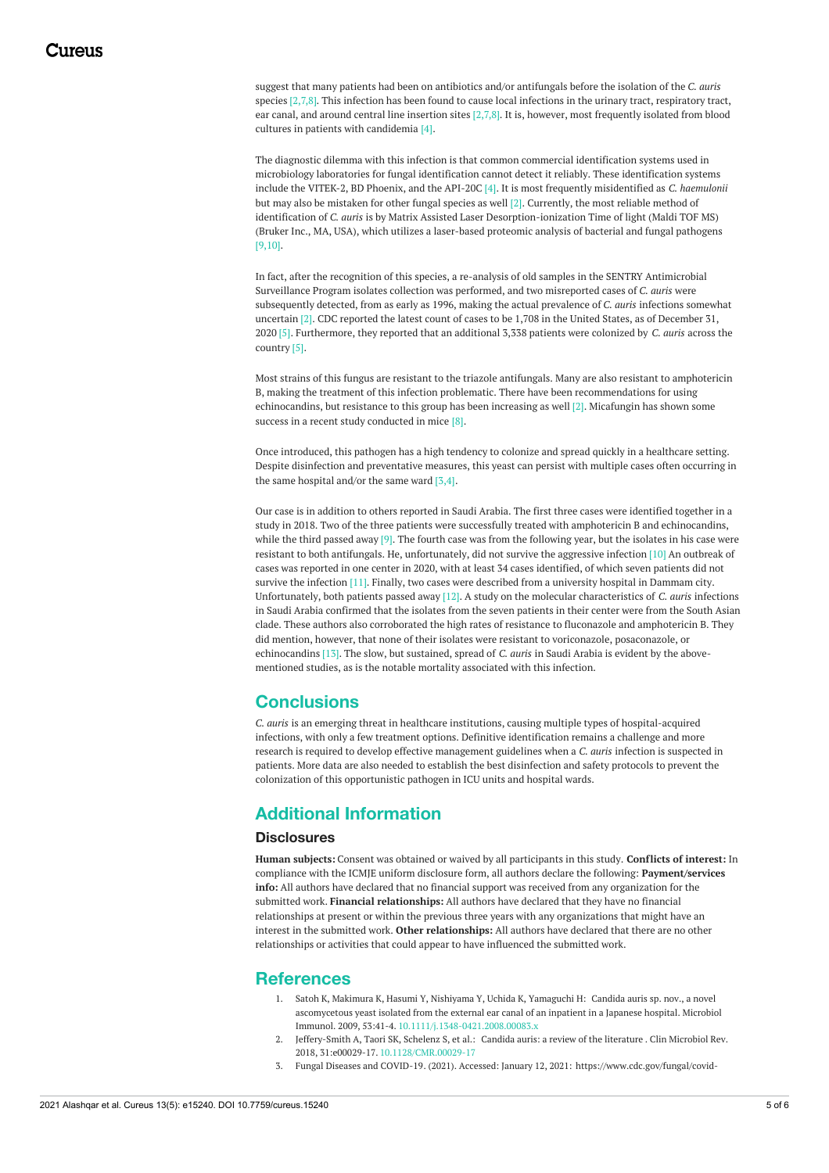suggest that many patients had been on antibiotics and/or antifungals before the isolation of the *C. auris* species  $[2,7,8]$ . This infection has been found to cause local infections in the urinary tract, respiratory tract, ear canal, and around central line insertion sites [2,7,8]. It is, however, most frequently isolated from blood cultures in patients with candidemia [4].

The diagnostic dilemma with this infection is that common commercial identification systems used in microbiology laboratories for fungal identification cannot detect it reliably. These identification systems include the VITEK-2, BD Phoenix, and the API-20C [4]. It is most frequently misidentified as *C. haemulonii* but may also be mistaken for other fungal species as well [2]. Currently, the most reliable method of identification of *C. auris* is by Matrix Assisted Laser Desorption-ionization Time of light (Maldi TOF MS) (Bruker Inc., MA, USA), which utilizes a laser-based proteomic analysis of bacterial and fungal pathogens [9,10].

In fact, after the recognition of this species, a re-analysis of old samples in the SENTRY Antimicrobial Surveillance Program isolates collection was performed, and two misreported cases of *C. auris* were subsequently detected, from as early as 1996, making the actual prevalence of *C. auris* infections somewhat uncertain [2]. CDC reported the latest count of cases to be 1,708 in the United States, as of December 31, 2020 [5]. Furthermore, they reported that an additional 3,338 patients were colonized by *C. auris* across the country [5].

Most strains of this fungus are resistant to the triazole antifungals. Many are also resistant to amphotericin B, making the treatment of this infection problematic. There have been recommendations for using echinocandins, but resistance to this group has been increasing as well [2]. Micafungin has shown some success in a recent study conducted in mice [8].

Once introduced, this pathogen has a high tendency to colonize and spread quickly in a healthcare setting. Despite disinfection and preventative measures, this yeast can persist with multiple cases often occurring in the same hospital and/or the same ward  $[3,4]$ .

Our case is in addition to others reported in Saudi Arabia. The first three cases were identified together in a study in 2018. Two of the three patients were successfully treated with amphotericin B and echinocandins, while the third passed away [9]. The fourth case was from the following year, but the isolates in his case were resistant to both antifungals. He, unfortunately, did not survive the aggressive infection [10] An outbreak of cases was reported in one center in 2020, with at least 34 cases identified, of which seven patients did not survive the infection [11]. Finally, two cases were described from a university hospital in Dammam city. Unfortunately, both patients passed away [12]. A study on the molecular characteristics of *C. auris* infections in Saudi Arabia confirmed that the isolates from the seven patients in their center were from the South Asian clade. These authors also corroborated the high rates of resistance to fluconazole and amphotericin B. They did mention, however, that none of their isolates were resistant to voriconazole, posaconazole, or echinocandins [13]. The slow, but sustained, spread of *C. auris* in Saudi Arabia is evident by the abovementioned studies, as is the notable mortality associated with this infection.

### **Conclusions**

*C. auris* is an emerging threat in healthcare institutions, causing multiple types of hospital-acquired infections, with only a few treatment options. Definitive identification remains a challenge and more research is required to develop effective management guidelines when a *C. auris* infection is suspected in patients. More data are also needed to establish the best disinfection and safety protocols to prevent the colonization of this opportunistic pathogen in ICU units and hospital wards.

## **Additional Information**

#### **Disclosures**

**Human subjects:** Consent was obtained or waived by all participants in this study. **Conflicts of interest:** In compliance with the ICMJE uniform disclosure form, all authors declare the following: **Payment/services info:** All authors have declared that no financial support was received from any organization for the submitted work. **Financial relationships:** All authors have declared that they have no financial relationships at present or within the previous three years with any organizations that might have an interest in the submitted work. **Other relationships:** All authors have declared that there are no other relationships or activities that could appear to have influenced the submitted work.

#### **References**

- 1. Satoh K, Makimura K, Hasumi Y, Nishiyama Y, Uchida K, Yamaguchi H: Candida auris sp. nov., a novel [ascomycetous](https://dx.doi.org/10.1111/j.1348-0421.2008.00083.x) yeast isolated from the external ear canal of an inpatient in a Japanese hospital. Microbiol Immunol. 2009, 53:41-4. [10.1111/j.1348-0421.2008.00083.x](https://dx.doi.org/10.1111/j.1348-0421.2008.00083.x)
- 2. Jeffery-Smith A, Taori SK, Schelenz S, et al.: Candida auris: a review of the [literature](https://dx.doi.org/10.1128/CMR.00029-17) . Clin Microbiol Rev. 2018, 31:e00029-17. [10.1128/CMR.00029-17](https://dx.doi.org/10.1128/CMR.00029-17)
- 3. Fungal Diseases and [COVID-19](https://www.cdc.gov/fungal/covid-fungal.html). (2021). Accessed: January 12, 2021: [https://www.cdc.gov/fungal/covid-](https://www.cdc.gov/fungal/covid-fungal.html)